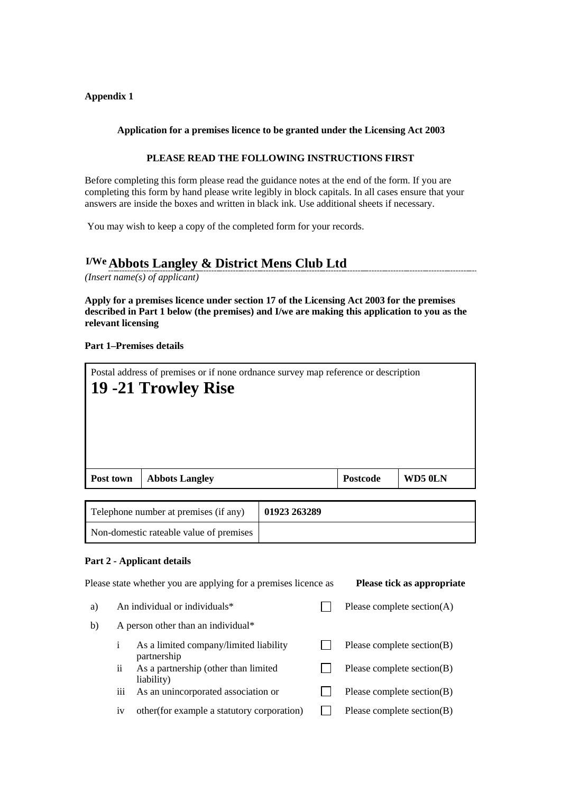#### **Appendix 1**

#### **Application for a premises licence to be granted under the Licensing Act 2003**

#### **PLEASE READ THE FOLLOWING INSTRUCTIONS FIRST**

Before completing this form please read the guidance notes at the end of the form. If you are completing this form by hand please write legibly in block capitals. In all cases ensure that your answers are inside the boxes and written in black ink. Use additional sheets if necessary.

You may wish to keep a copy of the completed form for your records.

# **I/We Abbots Langley & District Mens Club Ltd**

*(Insert name(s) of applicant)*

**Apply for a premises licence under section 17 of the Licensing Act 2003 for the premises described in Part 1 below (the premises) and I/we are making this application to you as the relevant licensing**

#### **Part 1–Premises details**

| Postal address of premises or if none ordinance survey map reference or description<br>19 -21 Trowley Rise<br>WD50LN<br><b>Postcode</b><br>Post town<br><b>Abbots Langley</b> |  |  |  |  |  |  |
|-------------------------------------------------------------------------------------------------------------------------------------------------------------------------------|--|--|--|--|--|--|
|                                                                                                                                                                               |  |  |  |  |  |  |
|                                                                                                                                                                               |  |  |  |  |  |  |

| Telephone number at premises (if any)   | 01923 263289 |
|-----------------------------------------|--------------|
| Non-domestic rateable value of premises |              |

#### **Part 2 - Applicant details**

|    |                                    | Please state whether you are applying for a premises licence as |                               | Please tick as appropriate |  |  |
|----|------------------------------------|-----------------------------------------------------------------|-------------------------------|----------------------------|--|--|
| a) |                                    | An individual or individuals*                                   | Please complete section $(A)$ |                            |  |  |
| b) | A person other than an individual* |                                                                 |                               |                            |  |  |
|    | <sup>i</sup>                       | As a limited company/limited liability<br>partnership           |                               | Please complete section(B) |  |  |
|    | ii                                 | As a partnership (other than limited<br>liability)              |                               | Please complete section(B) |  |  |
|    | ĤÌ                                 | As an unincorporated association or                             |                               | Please complete section(B) |  |  |
|    | 1V                                 | other (for example a statutory corporation)                     |                               | Please complete section(B) |  |  |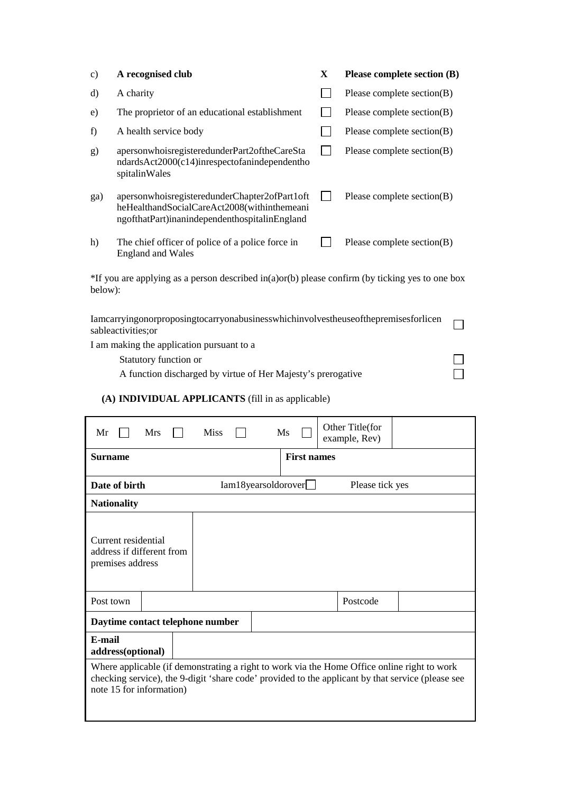| $\mathbf{c})$ | A recognised club                                                                                                                             | $\mathbf{X}$ | Please complete section (B) |  |  |  |  |
|---------------|-----------------------------------------------------------------------------------------------------------------------------------------------|--------------|-----------------------------|--|--|--|--|
| d)            | A charity                                                                                                                                     |              | Please complete section(B)  |  |  |  |  |
| e)            | The proprietor of an educational establishment                                                                                                |              | Please complete section(B)  |  |  |  |  |
| f)            | A health service body                                                                                                                         |              | Please complete section(B)  |  |  |  |  |
| g)            | apersonwhoisregisteredunderPart2oftheCareSta<br>ndardsAct2000(c14)inrespectofanindependentho<br>spitalinWales                                 |              | Please complete section(B)  |  |  |  |  |
| ga)           | apersonwhoisregisteredunderChapter2ofPart1oft<br>heHealthandSocialCareAct2008(withinthemeani<br>ngofthatPart)inanindependenthospitalinEngland |              | Please complete section(B)  |  |  |  |  |
| h)            | The chief officer of police of a police force in<br><b>England and Wales</b>                                                                  |              | Please complete section(B)  |  |  |  |  |
|               | *If you are applying as a person described in(a)or(b) please confirm (by ticking yes to one box<br>below):                                    |              |                             |  |  |  |  |
|               | Iamcarryingonorproposingtocarryonabusinesswhichinvolvestheuseofthepremisesforlicen<br>sableactivities; or                                     |              |                             |  |  |  |  |

 $\Box$  $\Box$ 

I am making the application pursuant to a

Statutory function or A function discharged by virtue of Her Majesty's prerogative

### **(A) INDIVIDUAL APPLICANTS** (fill in as applicable)

| <b>Mrs</b><br>Mr                                                                                                                                                                                                             | <b>Miss</b> | Ms                  | Other Title(for<br>example, Rev) |  |  |  |
|------------------------------------------------------------------------------------------------------------------------------------------------------------------------------------------------------------------------------|-------------|---------------------|----------------------------------|--|--|--|
| <b>Surname</b>                                                                                                                                                                                                               |             | <b>First names</b>  |                                  |  |  |  |
| Date of birth                                                                                                                                                                                                                |             | Iam18yearsoldorover | Please tick yes                  |  |  |  |
| <b>Nationality</b>                                                                                                                                                                                                           |             |                     |                                  |  |  |  |
| Current residential<br>address if different from<br>premises address                                                                                                                                                         |             |                     |                                  |  |  |  |
| Post town                                                                                                                                                                                                                    |             |                     | Postcode                         |  |  |  |
| Daytime contact telephone number                                                                                                                                                                                             |             |                     |                                  |  |  |  |
| E-mail<br>address(optional)                                                                                                                                                                                                  |             |                     |                                  |  |  |  |
| Where applicable (if demonstrating a right to work via the Home Office online right to work<br>checking service), the 9-digit 'share code' provided to the applicant by that service (please see<br>note 15 for information) |             |                     |                                  |  |  |  |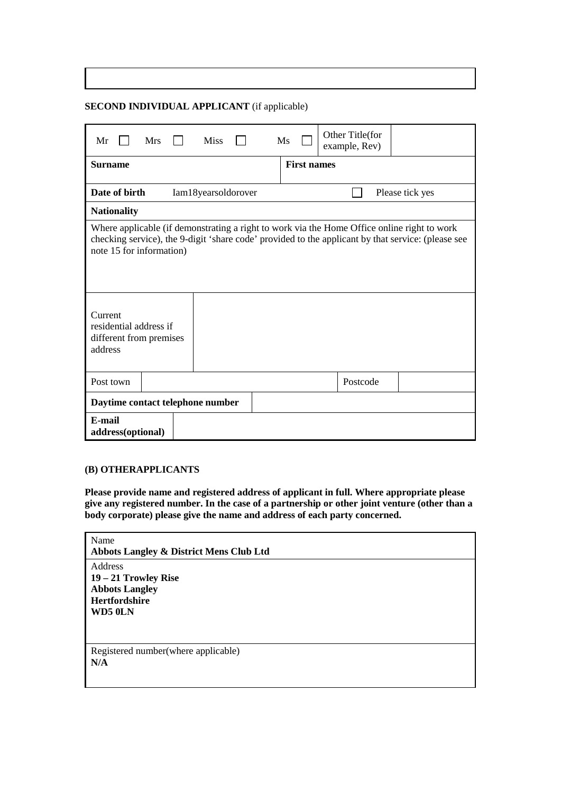**SECOND INDIVIDUAL APPLICANT** (if applicable)

| Mr                                                                                                                                                                                                                            | <b>Mrs</b>                                              |  | <b>Miss</b> |  | Ms |  | Other Title(for<br>example, Rev) |  |  |
|-------------------------------------------------------------------------------------------------------------------------------------------------------------------------------------------------------------------------------|---------------------------------------------------------|--|-------------|--|----|--|----------------------------------|--|--|
| <b>Surname</b>                                                                                                                                                                                                                | <b>First names</b>                                      |  |             |  |    |  |                                  |  |  |
|                                                                                                                                                                                                                               | Date of birth<br>Iam18yearsoldorover<br>Please tick yes |  |             |  |    |  |                                  |  |  |
| <b>Nationality</b>                                                                                                                                                                                                            |                                                         |  |             |  |    |  |                                  |  |  |
| Where applicable (if demonstrating a right to work via the Home Office online right to work<br>checking service), the 9-digit 'share code' provided to the applicant by that service: (please see<br>note 15 for information) |                                                         |  |             |  |    |  |                                  |  |  |
| Current<br>address                                                                                                                                                                                                            | residential address if<br>different from premises       |  |             |  |    |  |                                  |  |  |
| Post town                                                                                                                                                                                                                     |                                                         |  |             |  |    |  | Postcode                         |  |  |
|                                                                                                                                                                                                                               | Daytime contact telephone number                        |  |             |  |    |  |                                  |  |  |
| E-mail<br>address(optional)                                                                                                                                                                                                   |                                                         |  |             |  |    |  |                                  |  |  |

#### **(B) OTHERAPPLICANTS**

**Please provide name and registered address of applicant in full. Where appropriate please give any registered number. In the case of a partnership or other joint venture (other than a body corporate) please give the name and address of each party concerned.**

| Name                                               |
|----------------------------------------------------|
| <b>Abbots Langley &amp; District Mens Club Ltd</b> |
| Address                                            |
| $19 - 21$ Trowley Rise                             |
| <b>Abbots Langley</b>                              |
| Hertfordshire                                      |
| WD5 0LN                                            |
|                                                    |
|                                                    |
| Registered number (where applicable)               |
| N/A                                                |
|                                                    |
|                                                    |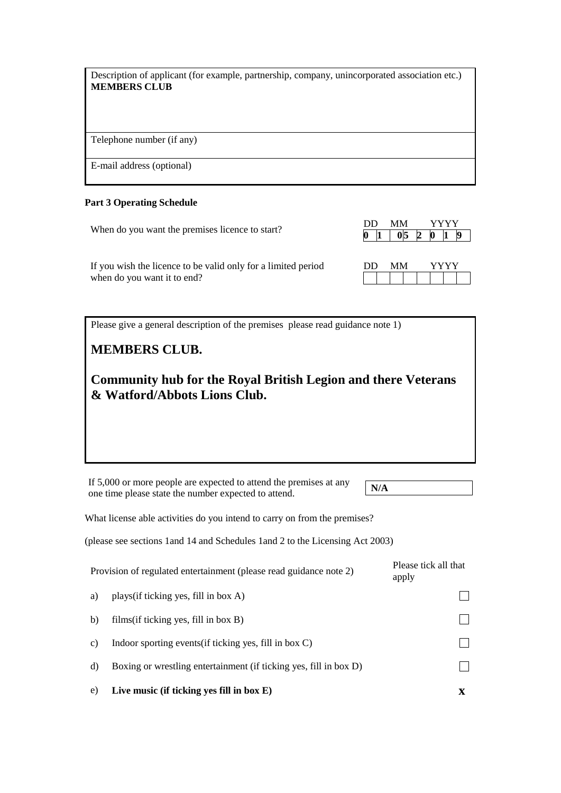Description of applicant (for example, partnership, company, unincorporated association etc.) **MEMBERS CLUB**

Telephone number (if any)

E-mail address (optional)

#### **Part 3 Operating Schedule**

When do you want the premises licence to start?

| DD. |  |  |  |  |  |  |  |
|-----|--|--|--|--|--|--|--|
|     |  |  |  |  |  |  |  |

If you wish the licence to be valid only for a limited period when do you want it to end?

| DD. | MМ |  |  |  |
|-----|----|--|--|--|
|     |    |  |  |  |

Please give a general description of the premises please read guidance note 1)

## **MEMBERS CLUB.**

**Community hub for the Royal British Legion and there Veterans & Watford/Abbots Lions Club.**

If 5,000 or more people are expected to attend the premises at any one time please state the number expected to attend.

What license able activities do you intend to carry on from the premises?

(please see sections 1and 14 and Schedules 1and 2 to the Licensing Act 2003)

|                 | Provision of regulated entertainment (please read guidance note 2) | Please tick all that<br>apply |
|-----------------|--------------------------------------------------------------------|-------------------------------|
| a)              | plays (if ticking yes, fill in box A)                              |                               |
| b)              | films $(i$ f ticking yes, fill in box B)                           |                               |
| $\mathcal{C}$ ) | Indoor sporting events (if ticking yes, fill in box $C$ )          |                               |
| d)              | Boxing or wrestling entertainment (if ticking yes, fill in box D)  |                               |
| e)              | Live music (if ticking yes fill in box $E$ )                       | X                             |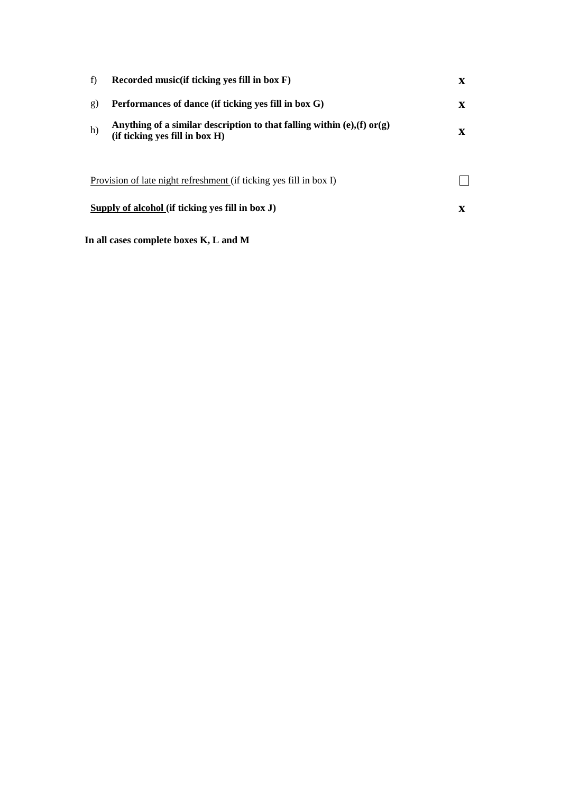| f) | Recorded music (if ticking yes fill in box F)                                                                     | X |
|----|-------------------------------------------------------------------------------------------------------------------|---|
| g) | Performances of dance (if ticking yes fill in box G)                                                              | X |
| h) | Anything of a similar description to that falling within $(e)$ , $(f)$ or $(g)$<br>(if ticking yes fill in box H) | X |
|    | Provision of late night refreshment (if ticking yes fill in box I)                                                |   |
|    | Supply of alcohol (if ticking yes fill in box J)                                                                  | X |

**In all cases complete boxes K, L and M**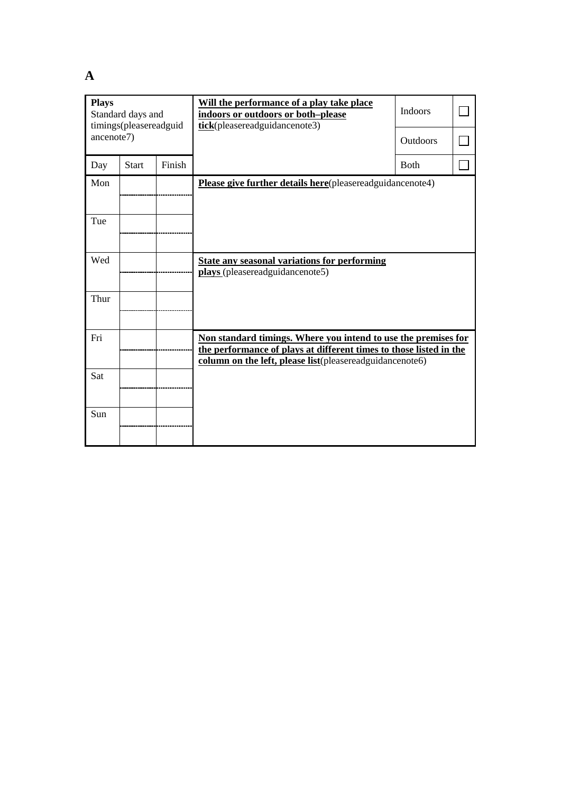**A**

| <b>Plays</b><br>Standard days and<br>timings(pleasereadguid<br>ancenote7) |              |        | Will the performance of a play take place<br>indoors or outdoors or both-please<br>tick(pleasereadguidancenote3)                                                                                 | <b>Indoors</b> |  |
|---------------------------------------------------------------------------|--------------|--------|--------------------------------------------------------------------------------------------------------------------------------------------------------------------------------------------------|----------------|--|
|                                                                           |              |        |                                                                                                                                                                                                  | Outdoors       |  |
| Day                                                                       | <b>Start</b> | Finish |                                                                                                                                                                                                  | <b>B</b> oth   |  |
| Mon                                                                       |              |        | Please give further details here(pleasereadguidancenote4)                                                                                                                                        |                |  |
| Tue                                                                       |              |        |                                                                                                                                                                                                  |                |  |
| Wed                                                                       |              |        | <b>State any seasonal variations for performing</b><br>plays (pleasereadguidancenote5)                                                                                                           |                |  |
| Thur                                                                      |              |        |                                                                                                                                                                                                  |                |  |
| Fri                                                                       |              |        | Non standard timings. Where you intend to use the premises for<br>the performance of plays at different times to those listed in the<br>column on the left, please list(pleasereadguidancenote6) |                |  |
| Sat                                                                       |              |        |                                                                                                                                                                                                  |                |  |
| Sun                                                                       |              |        |                                                                                                                                                                                                  |                |  |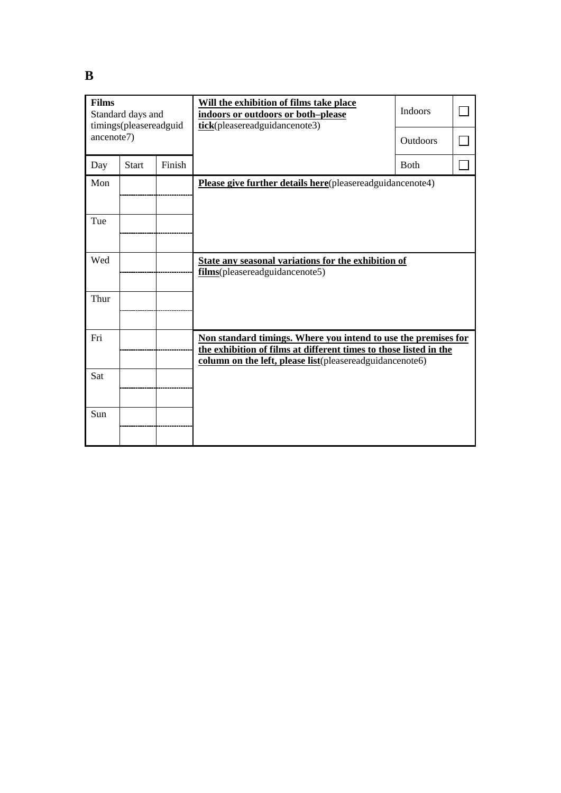| <b>Films</b><br>Standard days and<br>timings(pleasereadguid<br>ancenote7) |              |        | Will the exhibition of films take place<br>indoors or outdoors or both-please<br>tick(pleasereadguidancenote3)                                                                                  | Indoors<br>Outdoors |  |
|---------------------------------------------------------------------------|--------------|--------|-------------------------------------------------------------------------------------------------------------------------------------------------------------------------------------------------|---------------------|--|
| Day                                                                       | <b>Start</b> | Finish |                                                                                                                                                                                                 | Both                |  |
| Mon                                                                       |              |        | Please give further details here(pleasereadguidancenote4)                                                                                                                                       |                     |  |
| Tue                                                                       |              |        |                                                                                                                                                                                                 |                     |  |
| Wed                                                                       |              |        | State any seasonal variations for the exhibition of<br>films(pleasereadguidancenote5)                                                                                                           |                     |  |
| Thur                                                                      |              |        |                                                                                                                                                                                                 |                     |  |
| Fri                                                                       |              |        | Non standard timings. Where you intend to use the premises for<br>the exhibition of films at different times to those listed in the<br>column on the left, please list(pleasereadguidancenote6) |                     |  |
| Sat                                                                       |              |        |                                                                                                                                                                                                 |                     |  |
| Sun                                                                       |              |        |                                                                                                                                                                                                 |                     |  |

**B**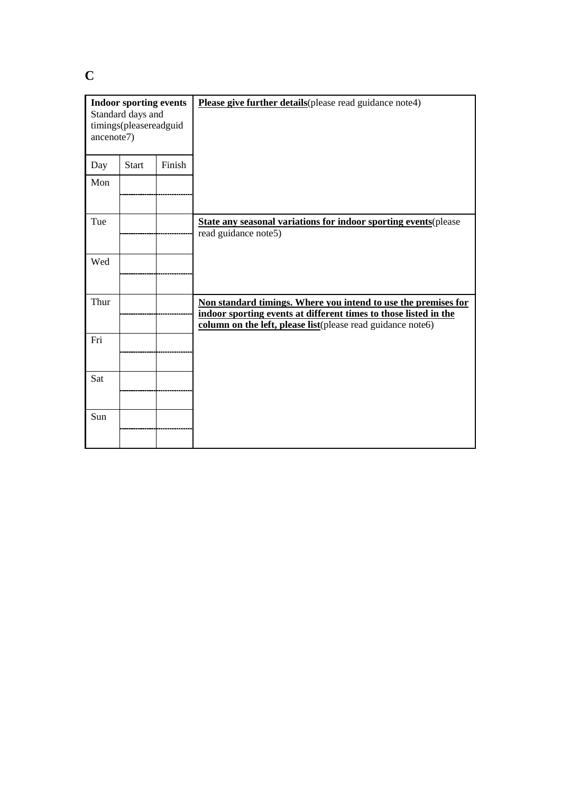**C**

| <b>Indoor sporting events</b><br>Standard days and<br>timings(pleasereadguid<br>ancenote7) |              |        | Please give further details (please read guidance note4)                                                                                                                                          |
|--------------------------------------------------------------------------------------------|--------------|--------|---------------------------------------------------------------------------------------------------------------------------------------------------------------------------------------------------|
| Day                                                                                        | <b>Start</b> | Finish |                                                                                                                                                                                                   |
| Mon                                                                                        |              |        |                                                                                                                                                                                                   |
| Tue                                                                                        |              |        | <b>State any seasonal variations for indoor sporting events (please)</b><br>read guidance note5)                                                                                                  |
| Wed                                                                                        |              |        |                                                                                                                                                                                                   |
| Thur                                                                                       |              |        | Non standard timings. Where you intend to use the premises for<br>indoor sporting events at different times to those listed in the<br>column on the left, please list(please read guidance note6) |
| Fri                                                                                        |              |        |                                                                                                                                                                                                   |
| Sat                                                                                        |              |        |                                                                                                                                                                                                   |
| Sun                                                                                        |              |        |                                                                                                                                                                                                   |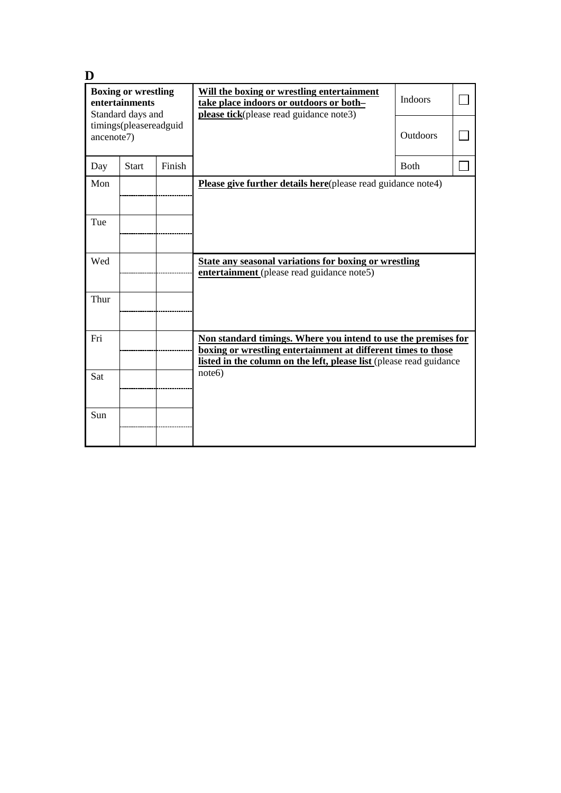| D                                                                 |                        |        |                                                                                                                                                                                                        |                |  |
|-------------------------------------------------------------------|------------------------|--------|--------------------------------------------------------------------------------------------------------------------------------------------------------------------------------------------------------|----------------|--|
| <b>Boxing or wrestling</b><br>entertainments<br>Standard days and |                        |        | Will the boxing or wrestling entertainment<br>take place indoors or outdoors or both-<br>please tick(please read guidance note3)                                                                       | <b>Indoors</b> |  |
| ancenote7)                                                        | timings(pleasereadguid |        |                                                                                                                                                                                                        | Outdoors       |  |
| Day                                                               | <b>Start</b>           | Finish |                                                                                                                                                                                                        | <b>Both</b>    |  |
| Mon                                                               |                        |        | Please give further details here(please read guidance note4)                                                                                                                                           |                |  |
| Tue                                                               |                        |        |                                                                                                                                                                                                        |                |  |
| Wed                                                               |                        |        | State any seasonal variations for boxing or wrestling<br>entertainment (please read guidance note5)                                                                                                    |                |  |
| Thur                                                              |                        |        |                                                                                                                                                                                                        |                |  |
| Fri                                                               |                        |        | Non standard timings. Where you intend to use the premises for<br>boxing or wrestling entertainment at different times to those<br>listed in the column on the left, please list (please read guidance |                |  |
| Sat                                                               |                        |        | note 6)                                                                                                                                                                                                |                |  |
| Sun                                                               |                        |        |                                                                                                                                                                                                        |                |  |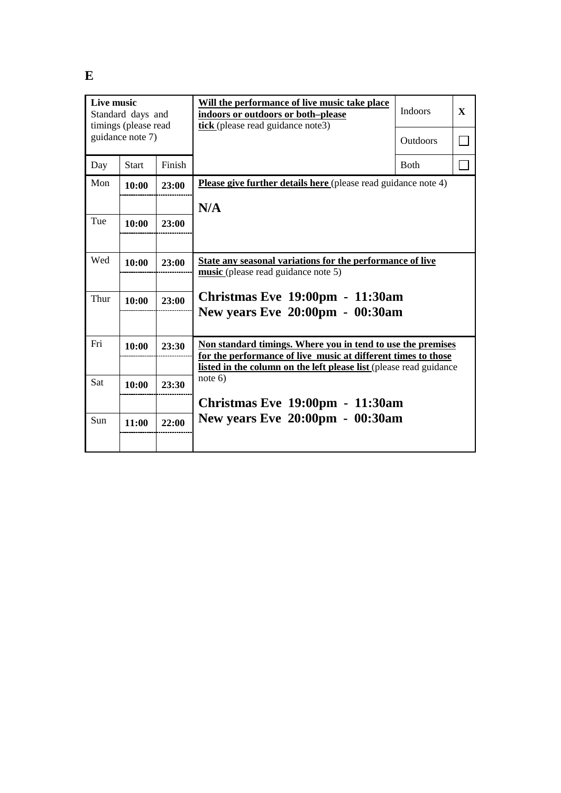| Live music<br>Standard days and<br>timings (please read |              |        | Will the performance of live music take place<br>indoors or outdoors or both-please<br>tick (please read guidance note3)            | <b>Indoors</b>  | $\mathbf{x}$ |
|---------------------------------------------------------|--------------|--------|-------------------------------------------------------------------------------------------------------------------------------------|-----------------|--------------|
| guidance note 7)                                        |              |        |                                                                                                                                     | <b>Outdoors</b> |              |
| Day                                                     | <b>Start</b> | Finish |                                                                                                                                     | <b>Both</b>     |              |
| Mon                                                     | 10:00        | 23:00  | <b>Please give further details here</b> (please read guidance note 4)                                                               |                 |              |
|                                                         |              |        | N/A                                                                                                                                 |                 |              |
| Tue                                                     | 10:00        | 23:00  |                                                                                                                                     |                 |              |
|                                                         |              |        |                                                                                                                                     |                 |              |
| Wed                                                     | 10:00        | 23:00  | State any seasonal variations for the performance of live<br>music (please read guidance note 5)                                    |                 |              |
|                                                         |              |        |                                                                                                                                     |                 |              |
| Thur                                                    | 10:00        | 23:00  | Christmas Eve 19:00pm - 11:30am                                                                                                     |                 |              |
|                                                         |              |        | <b>New years Eve 20:00pm - 00:30am</b>                                                                                              |                 |              |
| Fri                                                     | 10:00        | 23:30  | Non standard timings. Where you in tend to use the premises                                                                         |                 |              |
|                                                         |              |        | for the performance of live music at different times to those<br>listed in the column on the left please list (please read guidance |                 |              |
| Sat                                                     | 10:00        | 23:30  | note $6)$                                                                                                                           |                 |              |
|                                                         |              |        | Christmas Eve 19:00pm - 11:30am                                                                                                     |                 |              |
| Sun                                                     | 11:00        | 22:00  | <b>New years Eve 20:00pm - 00:30am</b>                                                                                              |                 |              |
|                                                         |              |        |                                                                                                                                     |                 |              |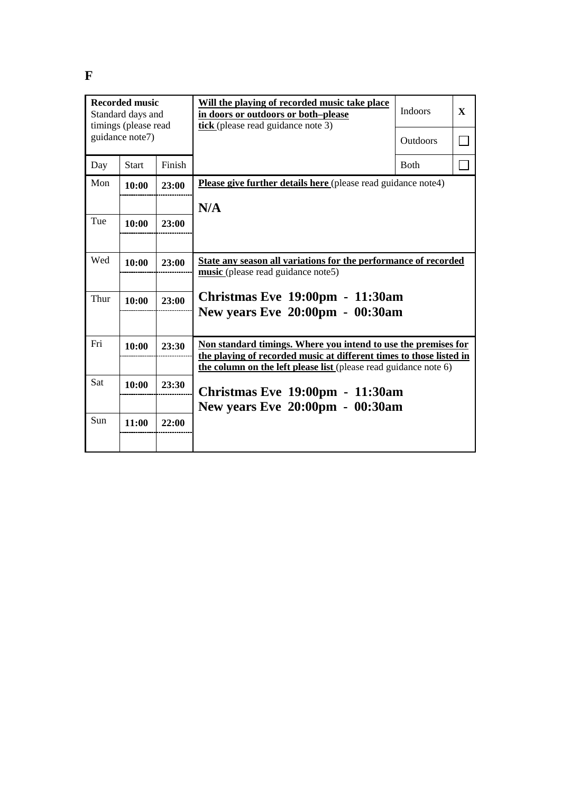| <b>Recorded music</b><br>Standard days and<br>timings (please read |              |        | Will the playing of recorded music take place<br>in doors or outdoors or both-please<br>tick (please read guidance note 3)              | <b>Indoors</b>  | $\mathbf{x}$ |
|--------------------------------------------------------------------|--------------|--------|-----------------------------------------------------------------------------------------------------------------------------------------|-----------------|--------------|
| guidance note7)                                                    |              |        |                                                                                                                                         | <b>Outdoors</b> |              |
| Day                                                                | <b>Start</b> | Finish |                                                                                                                                         | <b>Both</b>     |              |
| Mon                                                                | 10:00        | 23:00  | <b>Please give further details here</b> (please read guidance note4)                                                                    |                 |              |
|                                                                    |              |        | N/A                                                                                                                                     |                 |              |
| Tue                                                                | 10:00        | 23:00  |                                                                                                                                         |                 |              |
|                                                                    |              |        |                                                                                                                                         |                 |              |
| Wed                                                                | 10:00        | 23:00  | State any season all variations for the performance of recorded<br>music (please read guidance note5)                                   |                 |              |
|                                                                    |              |        |                                                                                                                                         |                 |              |
| Thur                                                               | 10:00        | 23:00  | Christmas Eve 19:00pm - 11:30am<br>New years Eve 20:00pm - 00:30am                                                                      |                 |              |
|                                                                    |              |        |                                                                                                                                         |                 |              |
| Fri                                                                | 10:00        | 23:30  | Non standard timings. Where you intend to use the premises for                                                                          |                 |              |
|                                                                    |              |        | the playing of recorded music at different times to those listed in<br>the column on the left please list (please read guidance note 6) |                 |              |
| Sat                                                                | 10:00        | 23:30  | Christmas Eve 19:00pm - 11:30am                                                                                                         |                 |              |
|                                                                    |              |        | New years Eve 20:00pm - 00:30am                                                                                                         |                 |              |
| Sun                                                                | 11:00        | 22:00  |                                                                                                                                         |                 |              |
|                                                                    |              |        |                                                                                                                                         |                 |              |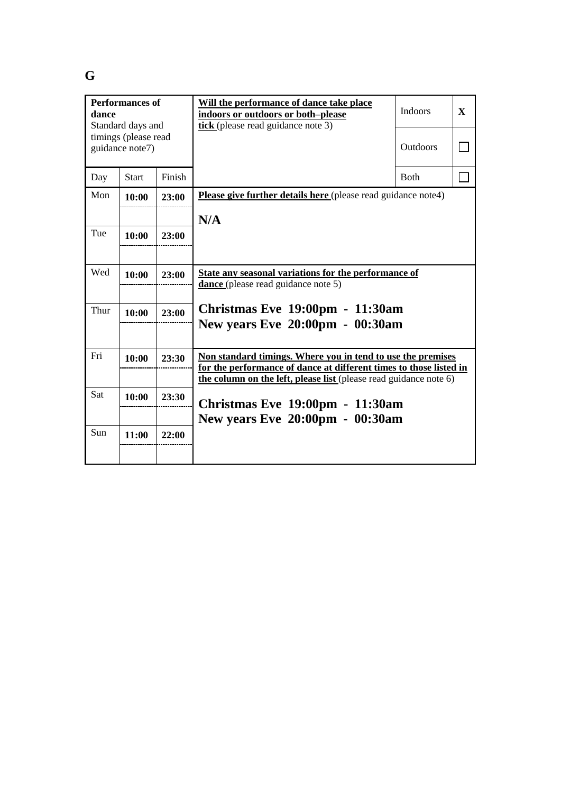| <b>Performances of</b><br>dance<br>Standard days and |              |        | Will the performance of dance take place<br>indoors or outdoors or both-please<br>tick (please read guidance note 3)                                                                                   | <b>Indoors</b>  | $\mathbf{x}$ |
|------------------------------------------------------|--------------|--------|--------------------------------------------------------------------------------------------------------------------------------------------------------------------------------------------------------|-----------------|--------------|
| timings (please read<br>guidance note7)              |              |        |                                                                                                                                                                                                        | <b>Outdoors</b> |              |
| Day                                                  | <b>Start</b> | Finish |                                                                                                                                                                                                        | <b>Both</b>     |              |
| Mon                                                  | 10:00        | 23:00  | <b>Please give further details here</b> (please read guidance note4)                                                                                                                                   |                 |              |
|                                                      |              |        | N/A                                                                                                                                                                                                    |                 |              |
| Tue                                                  | 10:00        | 23:00  |                                                                                                                                                                                                        |                 |              |
|                                                      |              |        |                                                                                                                                                                                                        |                 |              |
| Wed                                                  | 10:00        | 23:00  | State any seasonal variations for the performance of<br>dance (please read guidance note 5)                                                                                                            |                 |              |
| Thur                                                 | 10:00        | 23:00  | <b>Christmas Eve 19:00pm - 11:30am</b><br>New years Eve 20:00pm - 00:30am                                                                                                                              |                 |              |
| Fri                                                  | 10:00        | 23:30  | Non standard timings. Where you in tend to use the premises<br>for the performance of dance at different times to those listed in<br>the column on the left, please list (please read guidance note 6) |                 |              |
| Sat                                                  | 10:00        | 23:30  | Christmas Eve 19:00pm - 11:30am                                                                                                                                                                        |                 |              |
| Sun                                                  | 11:00        | 22:00  | New years Eve 20:00pm - 00:30am                                                                                                                                                                        |                 |              |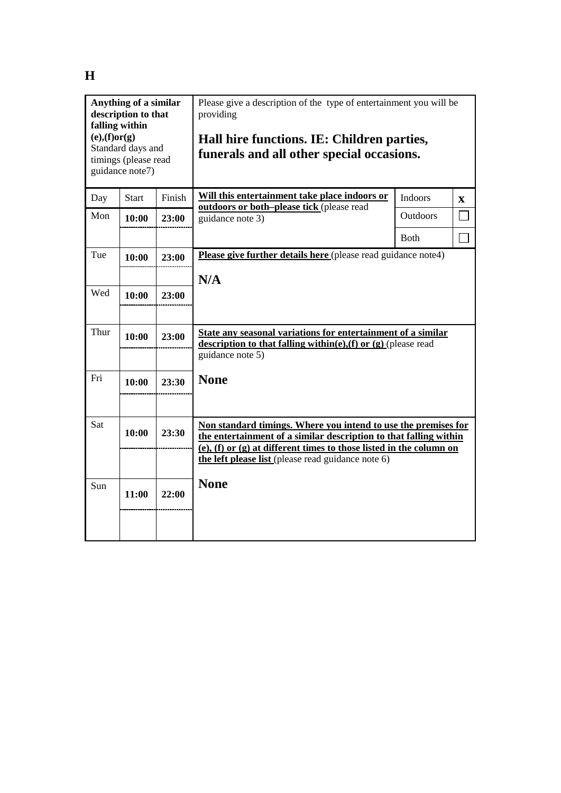| falling within<br>$(e)$ , $(f)$ or $(g)$ | Anything of a similar<br>description to that<br>Standard days and<br>timings (please read<br>guidance note7) |        | Please give a description of the type of entertainment you will be<br>providing<br>Hall hire functions. IE: Children parties,<br>funerals and all other special occasions. |              |              |
|------------------------------------------|--------------------------------------------------------------------------------------------------------------|--------|----------------------------------------------------------------------------------------------------------------------------------------------------------------------------|--------------|--------------|
| Day                                      | <b>Start</b>                                                                                                 | Finish | Will this entertainment take place indoors or<br>outdoors or both-please tick (please read                                                                                 | Indoors      | $\mathbf{X}$ |
| Mon                                      | 10:00                                                                                                        | 23:00  | guidance note 3)                                                                                                                                                           | Outdoors     |              |
|                                          |                                                                                                              |        |                                                                                                                                                                            | <b>B</b> oth |              |
| Tue                                      | 10:00                                                                                                        | 23:00  | Please give further details here (please read guidance note4)                                                                                                              |              |              |
|                                          |                                                                                                              |        | N/A                                                                                                                                                                        |              |              |
| Wed                                      | 10:00                                                                                                        | 23:00  |                                                                                                                                                                            |              |              |
|                                          |                                                                                                              |        |                                                                                                                                                                            |              |              |
| Thur                                     | 10:00                                                                                                        | 23:00  | State any seasonal variations for entertainment of a similar<br>description to that falling within(e),(f) or $(g)$ (please read                                            |              |              |
|                                          |                                                                                                              |        | guidance note 5)                                                                                                                                                           |              |              |
| Fri                                      | 10:00                                                                                                        | 23:30  | <b>None</b>                                                                                                                                                                |              |              |
|                                          |                                                                                                              |        |                                                                                                                                                                            |              |              |
| Sat                                      |                                                                                                              |        | Non standard timings. Where you intend to use the premises for                                                                                                             |              |              |
|                                          | 10:00                                                                                                        | 23:30  | the entertainment of a similar description to that falling within                                                                                                          |              |              |
|                                          |                                                                                                              |        | (e), (f) or (g) at different times to those listed in the column on<br>the left please list (please read guidance note 6)                                                  |              |              |
|                                          |                                                                                                              |        | <b>None</b>                                                                                                                                                                |              |              |
| Sun                                      | 11:00                                                                                                        | 22:00  |                                                                                                                                                                            |              |              |
|                                          |                                                                                                              |        |                                                                                                                                                                            |              |              |
|                                          |                                                                                                              |        |                                                                                                                                                                            |              |              |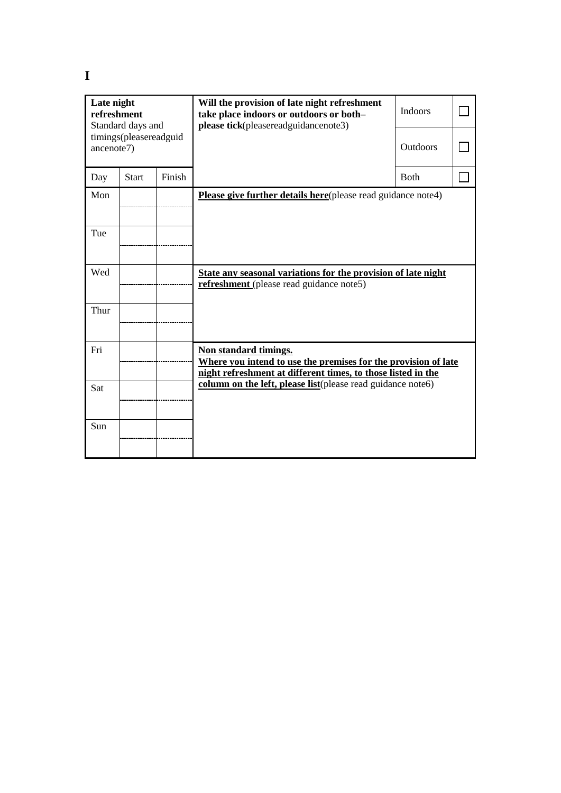| Late night<br>refreshment<br>Standard days and |                                      |        | Will the provision of late night refreshment<br>take place indoors or outdoors or both-<br>please tick(pleasereadguidancenote3)                         | <b>Indoors</b>  |  |
|------------------------------------------------|--------------------------------------|--------|---------------------------------------------------------------------------------------------------------------------------------------------------------|-----------------|--|
|                                                | timings(pleasereadguid<br>ancenote7) |        |                                                                                                                                                         | <b>Outdoors</b> |  |
| Day                                            | <b>Start</b>                         | Finish |                                                                                                                                                         | Both            |  |
| Mon                                            |                                      |        | Please give further details here(please read guidance note4)                                                                                            |                 |  |
| Tue                                            |                                      |        |                                                                                                                                                         |                 |  |
| Wed                                            |                                      |        | State any seasonal variations for the provision of late night<br>refreshment (please read guidance note5)                                               |                 |  |
| Thur                                           |                                      |        |                                                                                                                                                         |                 |  |
| Fri                                            |                                      |        | Non standard timings.<br>Where you intend to use the premises for the provision of late<br>night refreshment at different times, to those listed in the |                 |  |
| Sat                                            |                                      |        | column on the left, please list(please read guidance note6)                                                                                             |                 |  |
| Sun                                            |                                      |        |                                                                                                                                                         |                 |  |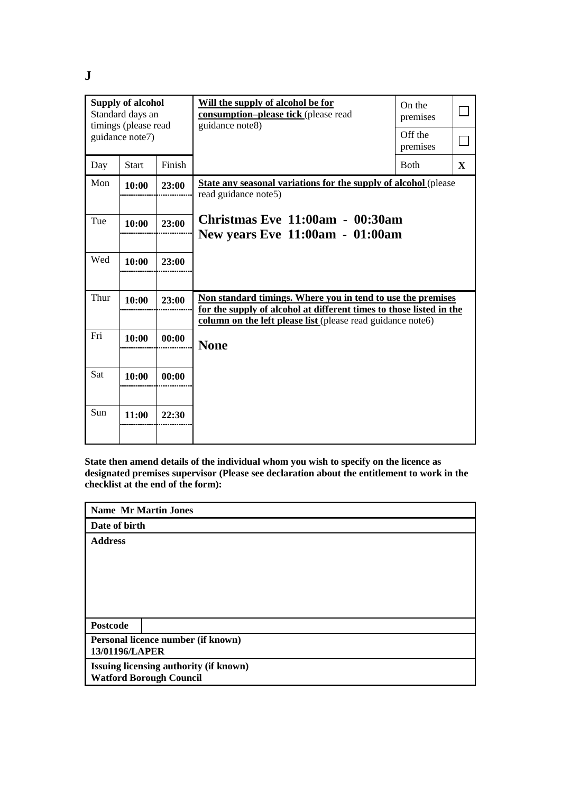**J**

| <b>Supply of alcohol</b><br>Standard days an<br>timings (please read<br>guidance note7) |              |        | Will the supply of alcohol be for<br>consumption-please tick (please read<br>guidance note8)                                                                                                      | On the<br>premises<br>Off the<br>premises |   |
|-----------------------------------------------------------------------------------------|--------------|--------|---------------------------------------------------------------------------------------------------------------------------------------------------------------------------------------------------|-------------------------------------------|---|
| Day                                                                                     | <b>Start</b> | Finish |                                                                                                                                                                                                   | <b>Both</b>                               | X |
| Mon                                                                                     | 10:00        | 23:00  | <b>State any seasonal variations for the supply of alcohol (please)</b><br>read guidance note5)                                                                                                   |                                           |   |
| Tue                                                                                     | 10:00        | 23:00  | Christmas Eve $11:00$ am - $00:30$ am<br><b>New years Eve 11:00am - 01:00am</b>                                                                                                                   |                                           |   |
| Wed                                                                                     | 10:00        | 23:00  |                                                                                                                                                                                                   |                                           |   |
| Thur                                                                                    | 10:00        | 23:00  | Non standard timings. Where you in tend to use the premises<br>for the supply of alcohol at different times to those listed in the<br>column on the left please list (please read guidance note6) |                                           |   |
| Fri                                                                                     | 10:00        | 00:00  | <b>None</b>                                                                                                                                                                                       |                                           |   |
| Sat                                                                                     | 10:00        | 00:00  |                                                                                                                                                                                                   |                                           |   |
| Sun                                                                                     | 11:00        | 22:30  |                                                                                                                                                                                                   |                                           |   |

**State then amend details of the individual whom you wish to specify on the licence as designated premises supervisor (Please see declaration about the entitlement to work in the checklist at the end of the form):**

**Name Mr Martin Jones**

**Date of birth** 

**Address**

**Postcode**

**Personal licence number (if known) 13/01196/LAPER**

**Issuing licensing authority (if known)**

**Watford Borough Council**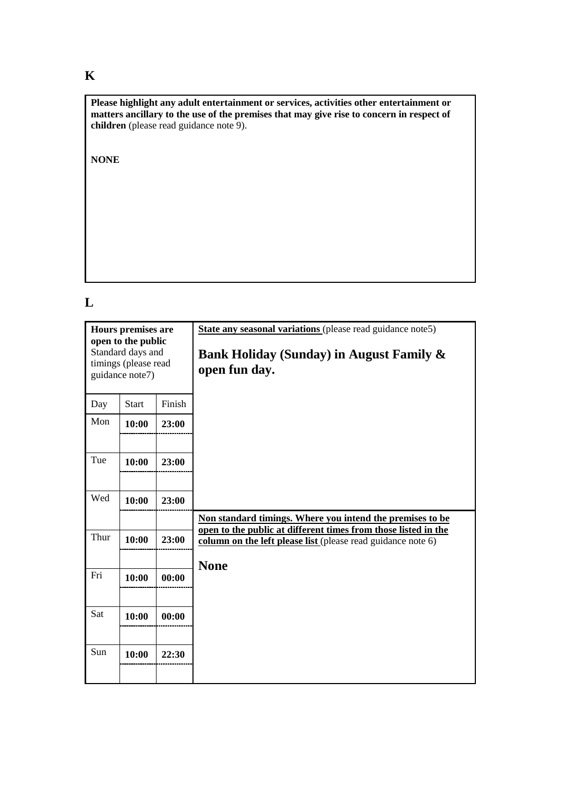## **K**

**Please highlight any adult entertainment or services, activities other entertainment or matters ancillary to the use of the premises that may give rise to concern in respect of children** (please read guidance note 9).

**NONE**

## **L**

| Hours premises are<br>open to the public<br>Standard days and<br>timings (please read<br>guidance note7) |              |        | State any seasonal variations (please read guidance note5)<br>Bank Holiday (Sunday) in August Family &<br>open fun day.     |  |  |
|----------------------------------------------------------------------------------------------------------|--------------|--------|-----------------------------------------------------------------------------------------------------------------------------|--|--|
| Day                                                                                                      | <b>Start</b> | Finish |                                                                                                                             |  |  |
| Mon                                                                                                      | 10:00        | 23:00  |                                                                                                                             |  |  |
|                                                                                                          |              |        |                                                                                                                             |  |  |
| Tue                                                                                                      | 10:00        | 23:00  |                                                                                                                             |  |  |
|                                                                                                          |              |        |                                                                                                                             |  |  |
| Wed                                                                                                      | 10:00        | 23:00  |                                                                                                                             |  |  |
|                                                                                                          |              |        | Non standard timings. Where you intend the premises to be<br>open to the public at different times from those listed in the |  |  |
| Thur                                                                                                     | 10:00        | 23:00  | column on the left please list (please read guidance note 6)                                                                |  |  |
|                                                                                                          |              |        | <b>None</b>                                                                                                                 |  |  |
| Fri                                                                                                      | 10:00        | 00:00  |                                                                                                                             |  |  |
|                                                                                                          |              |        |                                                                                                                             |  |  |
| Sat                                                                                                      | 10:00        | 00:00  |                                                                                                                             |  |  |
|                                                                                                          |              |        |                                                                                                                             |  |  |
| Sun                                                                                                      | 10:00        | 22:30  |                                                                                                                             |  |  |
|                                                                                                          |              |        |                                                                                                                             |  |  |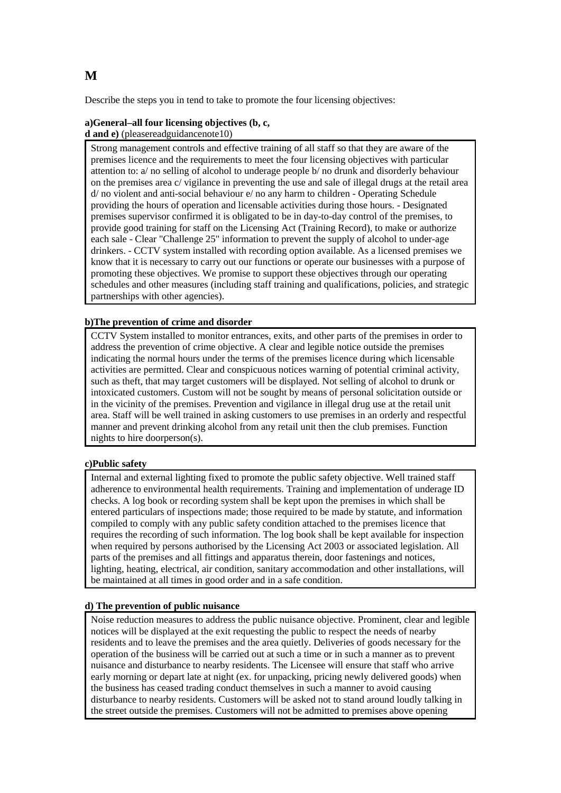Describe the steps you in tend to take to promote the four licensing objectives:

#### **a)General–all four licensing objectives (b, c, d and e)** (pleasereadguidancenote10)

Strong management controls and effective training of all staff so that they are aware of the premises licence and the requirements to meet the four licensing objectives with particular attention to: a/ no selling of alcohol to underage people b/ no drunk and disorderly behaviour on the premises area c/ vigilance in preventing the use and sale of illegal drugs at the retail area d/ no violent and anti-social behaviour e/ no any harm to children - Operating Schedule providing the hours of operation and licensable activities during those hours. - Designated premises supervisor confirmed it is obligated to be in day-to-day control of the premises, to provide good training for staff on the Licensing Act (Training Record), to make or authorize each sale - Clear "Challenge 25" information to prevent the supply of alcohol to under-age drinkers. - CCTV system installed with recording option available. As a licensed premises we know that it is necessary to carry out our functions or operate our businesses with a purpose of promoting these objectives. We promise to support these objectives through our operating schedules and other measures (including staff training and qualifications, policies, and strategic partnerships with other agencies).

#### **b)The prevention of crime and disorder**

CCTV System installed to monitor entrances, exits, and other parts of the premises in order to address the prevention of crime objective. A clear and legible notice outside the premises indicating the normal hours under the terms of the premises licence during which licensable activities are permitted. Clear and conspicuous notices warning of potential criminal activity, such as theft, that may target customers will be displayed. Not selling of alcohol to drunk or intoxicated customers. Custom will not be sought by means of personal solicitation outside or in the vicinity of the premises. Prevention and vigilance in illegal drug use at the retail unit area. Staff will be well trained in asking customers to use premises in an orderly and respectful manner and prevent drinking alcohol from any retail unit then the club premises. Function nights to hire doorperson(s).

#### **c)Public safety**

Internal and external lighting fixed to promote the public safety objective. Well trained staff adherence to environmental health requirements. Training and implementation of underage ID checks. A log book or recording system shall be kept upon the premises in which shall be entered particulars of inspections made; those required to be made by statute, and information compiled to comply with any public safety condition attached to the premises licence that requires the recording of such information. The log book shall be kept available for inspection when required by persons authorised by the Licensing Act 2003 or associated legislation. All parts of the premises and all fittings and apparatus therein, door fastenings and notices, lighting, heating, electrical, air condition, sanitary accommodation and other installations, will be maintained at all times in good order and in a safe condition.

#### **d) The prevention of public nuisance**

Noise reduction measures to address the public nuisance objective. Prominent, clear and legible notices will be displayed at the exit requesting the public to respect the needs of nearby residents and to leave the premises and the area quietly. Deliveries of goods necessary for the operation of the business will be carried out at such a time or in such a manner as to prevent nuisance and disturbance to nearby residents. The Licensee will ensure that staff who arrive early morning or depart late at night (ex. for unpacking, pricing newly delivered goods) when the business has ceased trading conduct themselves in such a manner to avoid causing disturbance to nearby residents. Customers will be asked not to stand around loudly talking in the street outside the premises. Customers will not be admitted to premises above opening

### **M**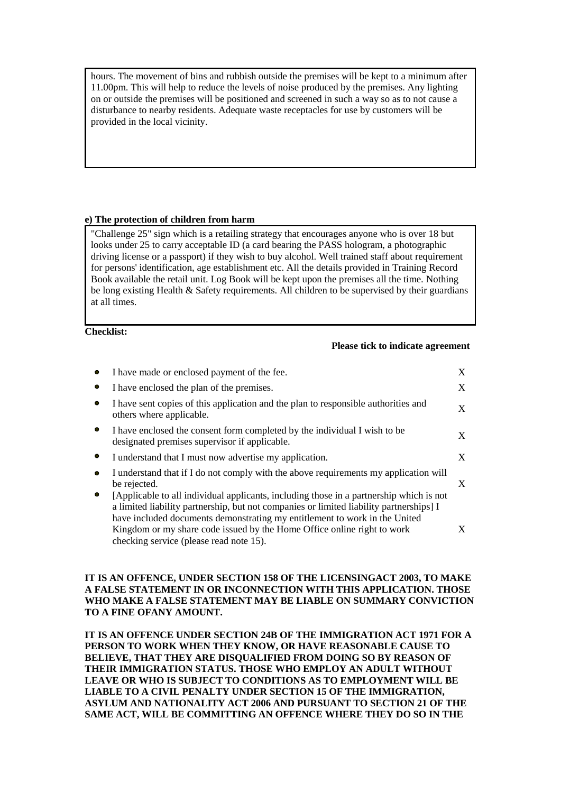hours. The movement of bins and rubbish outside the premises will be kept to a minimum after 11.00pm. This will help to reduce the levels of noise produced by the premises. Any lighting on or outside the premises will be positioned and screened in such a way so as to not cause a disturbance to nearby residents. Adequate waste receptacles for use by customers will be provided in the local vicinity.

#### **e) The protection of children from harm**

"Challenge 25" sign which is a retailing strategy that encourages anyone who is over 18 but looks under 25 to carry acceptable ID (a card bearing the PASS hologram, a photographic driving license or a passport) if they wish to buy alcohol. Well trained staff about requirement for persons' identification, age establishment etc. All the details provided in Training Record Book available the retail unit. Log Book will be kept upon the premises all the time. Nothing be long existing Health & Safety requirements. All children to be supervised by their guardians at all times.

**Checklist:**

#### **Please tick to indicate agreement**

|   | I have made or enclosed payment of the fee.                                                                                                                                                                                                                                                                                                  | X |
|---|----------------------------------------------------------------------------------------------------------------------------------------------------------------------------------------------------------------------------------------------------------------------------------------------------------------------------------------------|---|
|   | I have enclosed the plan of the premises.                                                                                                                                                                                                                                                                                                    | X |
| о | I have sent copies of this application and the plan to responsible authorities and<br>others where applicable.                                                                                                                                                                                                                               | X |
|   | I have enclosed the consent form completed by the individual I wish to be<br>designated premises supervisor if applicable.                                                                                                                                                                                                                   | X |
|   | I understand that I must now advertise my application.                                                                                                                                                                                                                                                                                       | X |
|   | I understand that if I do not comply with the above requirements my application will<br>be rejected.                                                                                                                                                                                                                                         | X |
|   | [Applicable to all individual applicants, including those in a partnership which is not<br>a limited liability partnership, but not companies or limited liability partnerships [I]<br>have included documents demonstrating my entitlement to work in the United<br>Kingdom or my share code issued by the Home Office online right to work | X |
|   | checking service (please read note 15).                                                                                                                                                                                                                                                                                                      |   |

#### **IT IS AN OFFENCE, UNDER SECTION 158 OF THE LICENSINGACT 2003, TO MAKE A FALSE STATEMENT IN OR INCONNECTION WITH THIS APPLICATION. THOSE WHO MAKE A FALSE STATEMENT MAY BE LIABLE ON SUMMARY CONVICTION TO A FINE OFANY AMOUNT.**

**IT IS AN OFFENCE UNDER SECTION 24B OF THE IMMIGRATION ACT 1971 FOR A PERSON TO WORK WHEN THEY KNOW, OR HAVE REASONABLE CAUSE TO BELIEVE, THAT THEY ARE DISQUALIFIED FROM DOING SO BY REASON OF THEIR IMMIGRATION STATUS. THOSE WHO EMPLOY AN ADULT WITHOUT LEAVE OR WHO IS SUBJECT TO CONDITIONS AS TO EMPLOYMENT WILL BE LIABLE TO A CIVIL PENALTY UNDER SECTION 15 OF THE IMMIGRATION, ASYLUM AND NATIONALITY ACT 2006 AND PURSUANT TO SECTION 21 OF THE SAME ACT, WILL BE COMMITTING AN OFFENCE WHERE THEY DO SO IN THE**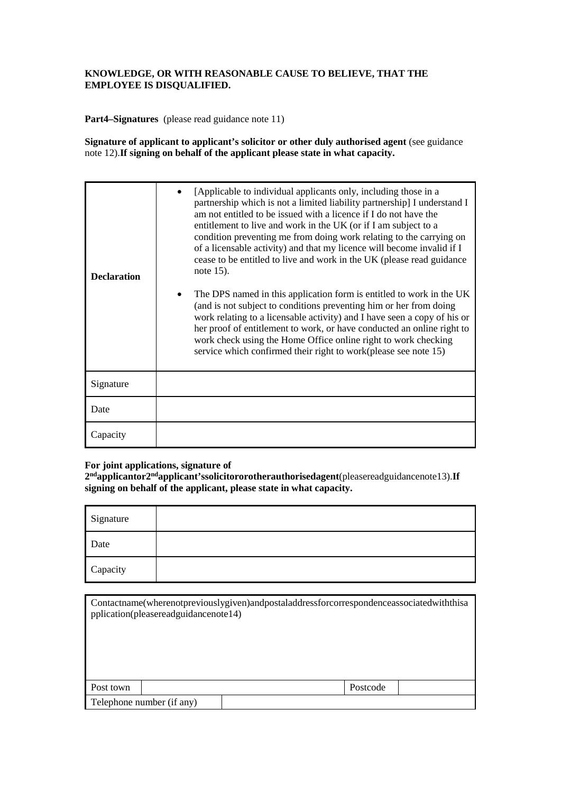#### **KNOWLEDGE, OR WITH REASONABLE CAUSE TO BELIEVE, THAT THE EMPLOYEE IS DISQUALIFIED.**

**Part4–Signatures** (please read guidance note 11)

**Signature of applicant to applicant's solicitor or other duly authorised agent** (see guidance note 12).**If signing on behalf of the applicant please state in what capacity.**

| <b>Declaration</b> | [Applicable to individual applicants only, including those in a<br>partnership which is not a limited liability partnership] I understand I<br>am not entitled to be issued with a licence if I do not have the<br>entitlement to live and work in the UK (or if I am subject to a<br>condition preventing me from doing work relating to the carrying on<br>of a licensable activity) and that my licence will become invalid if I<br>cease to be entitled to live and work in the UK (please read guidance<br>note $15$ ).<br>The DPS named in this application form is entitled to work in the UK<br>(and is not subject to conditions preventing him or her from doing<br>work relating to a licensable activity) and I have seen a copy of his or<br>her proof of entitlement to work, or have conducted an online right to<br>work check using the Home Office online right to work checking<br>service which confirmed their right to work(please see note 15) |
|--------------------|-----------------------------------------------------------------------------------------------------------------------------------------------------------------------------------------------------------------------------------------------------------------------------------------------------------------------------------------------------------------------------------------------------------------------------------------------------------------------------------------------------------------------------------------------------------------------------------------------------------------------------------------------------------------------------------------------------------------------------------------------------------------------------------------------------------------------------------------------------------------------------------------------------------------------------------------------------------------------|
| Signature          |                                                                                                                                                                                                                                                                                                                                                                                                                                                                                                                                                                                                                                                                                                                                                                                                                                                                                                                                                                       |
| Date               |                                                                                                                                                                                                                                                                                                                                                                                                                                                                                                                                                                                                                                                                                                                                                                                                                                                                                                                                                                       |
| Capacity           |                                                                                                                                                                                                                                                                                                                                                                                                                                                                                                                                                                                                                                                                                                                                                                                                                                                                                                                                                                       |

### **For joint applications, signature of**

**2ndapplicantor2ndapplicant'ssolicitororotherauthorisedagent**(pleasereadguidancenote13).**If signing on behalf of the applicant, please state in what capacity.**

| Signature |  |
|-----------|--|
| Date      |  |
| Capacity  |  |

|           | pplication(pleasereadguidancenote14) | Contactname(wherenotpreviouslygiven)andpostaladdressforcorrespondenceassociatedwith this a |          |  |
|-----------|--------------------------------------|--------------------------------------------------------------------------------------------|----------|--|
|           |                                      |                                                                                            |          |  |
| Post town |                                      |                                                                                            | Postcode |  |
|           | Telephone number (if any)            |                                                                                            |          |  |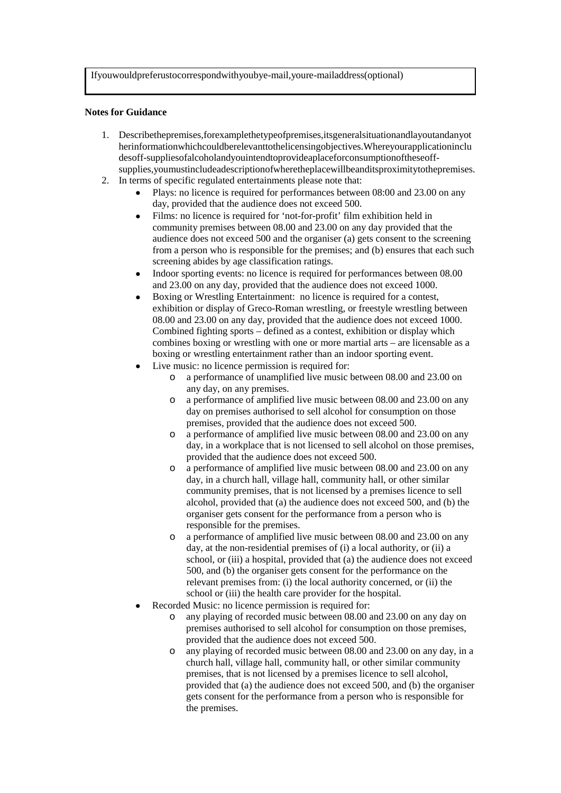Ifyouwouldpreferustocorrespondwithyoubye-mail,youre-mailaddress(optional)

#### **Notes for Guidance**

- 1. Describethepremises,forexamplethetypeofpremises,itsgeneralsituationandlayoutandanyot herinformationwhichcouldberelevanttothelicensingobjectives.Whereyourapplicationinclu desoff-suppliesofalcoholandyouintendtoprovideaplaceforconsumptionoftheseoffsupplies,youmustincludeadescriptionofwheretheplacewillbeanditsproximitytothepremises.
- 2. In terms of specific regulated entertainments please note that:
	- Plays: no licence is required for performances between 08:00 and 23.00 on any day, provided that the audience does not exceed 500.
	- Films: no licence is required for 'not-for-profit' film exhibition held in community premises between 08.00 and 23.00 on any day provided that the audience does not exceed 500 and the organiser (a) gets consent to the screening from a person who is responsible for the premises; and (b) ensures that each such screening abides by age classification ratings.
	- Indoor sporting events: no licence is required for performances between 08.00 and 23.00 on any day, provided that the audience does not exceed 1000.
	- Boxing or Wrestling Entertainment: no licence is required for a contest, exhibition or display of Greco-Roman wrestling, or freestyle wrestling between 08.00 and 23.00 on any day, provided that the audience does not exceed 1000. Combined fighting sports – defined as a contest, exhibition or display which combines boxing or wrestling with one or more martial arts – are licensable as a boxing or wrestling entertainment rather than an indoor sporting event.
	- Live music: no licence permission is required for:
		- o a performance of unamplified live music between 08.00 and 23.00 on any day, on any premises.
		- o a performance of amplified live music between 08.00 and 23.00 on any day on premises authorised to sell alcohol for consumption on those premises, provided that the audience does not exceed 500.
		- o a performance of amplified live music between 08.00 and 23.00 on any day, in a workplace that is not licensed to sell alcohol on those premises, provided that the audience does not exceed 500.
		- o a performance of amplified live music between 08.00 and 23.00 on any day, in a church hall, village hall, community hall, or other similar community premises, that is not licensed by a premises licence to sell alcohol, provided that (a) the audience does not exceed 500, and (b) the organiser gets consent for the performance from a person who is responsible for the premises.
		- o a performance of amplified live music between 08.00 and 23.00 on any day, at the non-residential premises of (i) a local authority, or (ii) a school, or (iii) a hospital, provided that (a) the audience does not exceed 500, and (b) the organiser gets consent for the performance on the relevant premises from: (i) the local authority concerned, or (ii) the school or (iii) the health care provider for the hospital.
	- Recorded Music: no licence permission is required for:
		- o any playing of recorded music between 08.00 and 23.00 on any day on premises authorised to sell alcohol for consumption on those premises, provided that the audience does not exceed 500.
		- o any playing of recorded music between 08.00 and 23.00 on any day, in a church hall, village hall, community hall, or other similar community premises, that is not licensed by a premises licence to sell alcohol, provided that (a) the audience does not exceed 500, and (b) the organiser gets consent for the performance from a person who is responsible for the premises.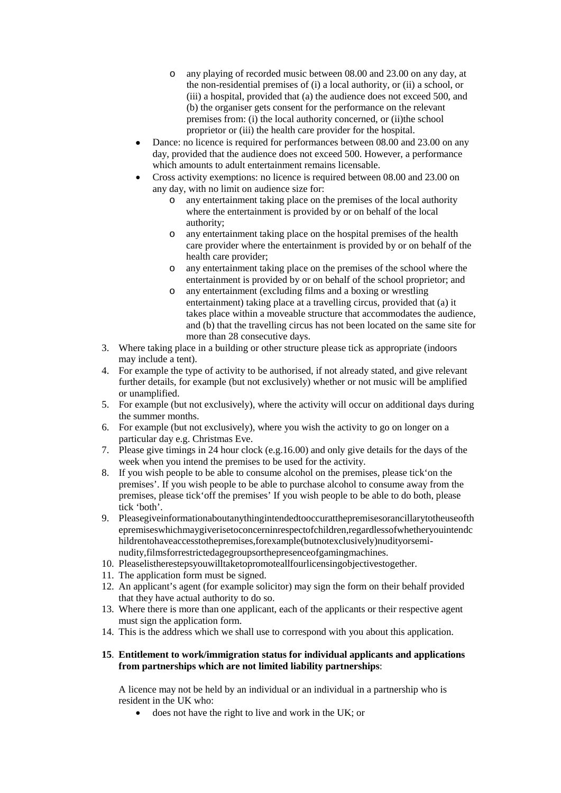- o any playing of recorded music between 08.00 and 23.00 on any day, at the non-residential premises of (i) a local authority, or (ii) a school, or (iii) a hospital, provided that (a) the audience does not exceed 500, and (b) the organiser gets consent for the performance on the relevant premises from: (i) the local authority concerned, or (ii)the school proprietor or (iii) the health care provider for the hospital.
- Dance: no licence is required for performances between 08.00 and 23.00 on any day, provided that the audience does not exceed 500. However, a performance which amounts to adult entertainment remains licensable.
- Cross activity exemptions: no licence is required between 08.00 and 23.00 on any day, with no limit on audience size for:
	- o any entertainment taking place on the premises of the local authority where the entertainment is provided by or on behalf of the local authority;
	- o any entertainment taking place on the hospital premises of the health care provider where the entertainment is provided by or on behalf of the health care provider;
	- o any entertainment taking place on the premises of the school where the entertainment is provided by or on behalf of the school proprietor; and
	- o any entertainment (excluding films and a boxing or wrestling entertainment) taking place at a travelling circus, provided that (a) it takes place within a moveable structure that accommodates the audience, and (b) that the travelling circus has not been located on the same site for more than 28 consecutive days.
- 3. Where taking place in a building or other structure please tick as appropriate (indoors may include a tent).
- 4. For example the type of activity to be authorised, if not already stated, and give relevant further details, for example (but not exclusively) whether or not music will be amplified or unamplified.
- 5. For example (but not exclusively), where the activity will occur on additional days during the summer months.
- 6. For example (but not exclusively), where you wish the activity to go on longer on a particular day e.g. Christmas Eve.
- 7. Please give timings in 24 hour clock (e.g.16.00) and only give details for the days of the week when you intend the premises to be used for the activity.
- 8. If you wish people to be able to consume alcohol on the premises, please tick'on the premises'. If you wish people to be able to purchase alcohol to consume away from the premises, please tick'off the premises' If you wish people to be able to do both, please tick 'both'.
- 9. Pleasegiveinformationaboutanythingintendedtooccuratthepremisesorancillarytotheuseofth epremiseswhichmaygiverisetoconcerninrespectofchildren,regardlessofwhetheryouintendc hildrentohaveaccesstothepremises,forexample(butnotexclusively)nudityorseminudity,filmsforrestrictedagegroupsorthepresenceofgamingmachines.
- 10. Pleaselistherestepsyouwilltaketopromoteallfourlicensingobjectivestogether.
- 11. The application form must be signed.
- 12. An applicant's agent (for example solicitor) may sign the form on their behalf provided that they have actual authority to do so.
- 13. Where there is more than one applicant, each of the applicants or their respective agent must sign the application form.
- 14. This is the address which we shall use to correspond with you about this application.

#### **15**. **Entitlement to work/immigration status for individual applicants and applications from partnerships which are not limited liability partnerships**:

A licence may not be held by an individual or an individual in a partnership who is resident in the UK who:

does not have the right to live and work in the UK; or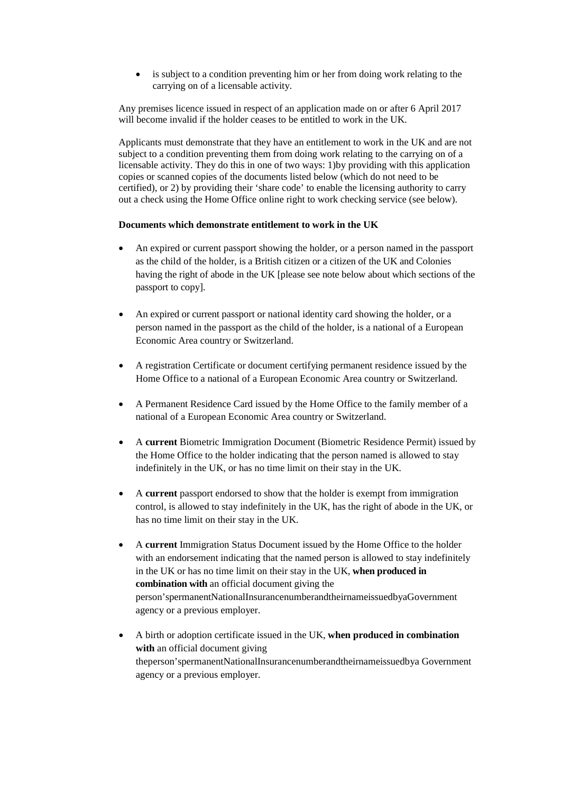• is subject to a condition preventing him or her from doing work relating to the carrying on of a licensable activity.

Any premises licence issued in respect of an application made on or after 6 April 2017 will become invalid if the holder ceases to be entitled to work in the UK.

Applicants must demonstrate that they have an entitlement to work in the UK and are not subject to a condition preventing them from doing work relating to the carrying on of a licensable activity. They do this in one of two ways: 1)by providing with this application copies or scanned copies of the documents listed below (which do not need to be certified), or 2) by providing their 'share code' to enable the licensing authority to carry out a check using the Home Office online right to work checking service (see below).

#### **Documents which demonstrate entitlement to work in the UK**

- An expired or current passport showing the holder, or a person named in the passport as the child of the holder, is a British citizen or a citizen of the UK and Colonies having the right of abode in the UK [please see note below about which sections of the passport to copy].
- An expired or current passport or national identity card showing the holder, or a person named in the passport as the child of the holder, is a national of a European Economic Area country or Switzerland.
- A registration Certificate or document certifying permanent residence issued by the Home Office to a national of a European Economic Area country or Switzerland.
- A Permanent Residence Card issued by the Home Office to the family member of a national of a European Economic Area country or Switzerland.
- A **current** Biometric Immigration Document (Biometric Residence Permit) issued by the Home Office to the holder indicating that the person named is allowed to stay indefinitely in the UK, or has no time limit on their stay in the UK.
- A **current** passport endorsed to show that the holder is exempt from immigration control, is allowed to stay indefinitely in the UK, has the right of abode in the UK, or has no time limit on their stay in the UK.
- A **current** Immigration Status Document issued by the Home Office to the holder with an endorsement indicating that the named person is allowed to stay indefinitely in the UK or has no time limit on their stay in the UK, **when produced in combination with** an official document giving the person'spermanentNationalInsurancenumberandtheirnameissuedbyaGovernment agency or a previous employer.
- A birth or adoption certificate issued in the UK, **when produced in combination with** an official document giving theperson'spermanentNationalInsurancenumberandtheirnameissuedbya Government agency or a previous employer.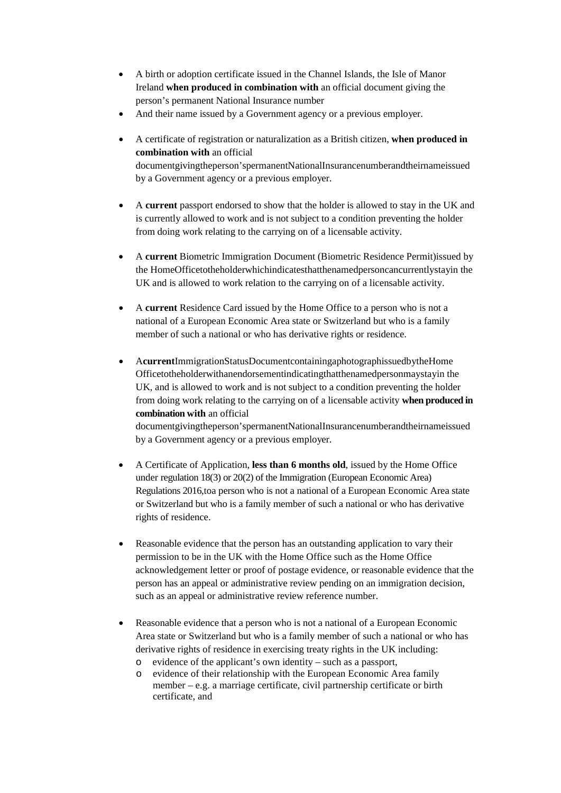- A birth or adoption certificate issued in the Channel Islands, the Isle of Manor Ireland **when produced in combination with** an official document giving the person's permanent National Insurance number
- And their name issued by a Government agency or a previous employer.
- A certificate of registration or naturalization as a British citizen, **when produced in combination with** an official documentgivingtheperson'spermanentNationalInsurancenumberandtheirnameissued by a Government agency or a previous employer.
- A **current** passport endorsed to show that the holder is allowed to stay in the UK and is currently allowed to work and is not subject to a condition preventing the holder from doing work relating to the carrying on of a licensable activity.
- A **current** Biometric Immigration Document (Biometric Residence Permit)issued by the HomeOfficetotheholderwhichindicatesthatthenamedpersoncancurrentlystayin the UK and is allowed to work relation to the carrying on of a licensable activity.
- A **current** Residence Card issued by the Home Office to a person who is not a national of a European Economic Area state or Switzerland but who is a family member of such a national or who has derivative rights or residence.
- A**current**ImmigrationStatusDocumentcontainingaphotographissuedbytheHome Officetotheholderwithanendorsementindicatingthatthenamedpersonmaystayin the UK, and is allowed to work and is not subject to a condition preventing the holder from doing work relating to the carrying on of a licensable activity **when produced in combination with** an official

documentgivingtheperson'spermanentNationalInsurancenumberandtheirnameissued by a Government agency or a previous employer.

- A Certificate of Application, **less than 6 months old**, issued by the Home Office under regulation 18(3) or 20(2) of the Immigration (European Economic Area) Regulations 2016,toa person who is not a national of a European Economic Area state or Switzerland but who is a family member of such a national or who has derivative rights of residence.
- Reasonable evidence that the person has an outstanding application to vary their permission to be in the UK with the Home Office such as the Home Office acknowledgement letter or proof of postage evidence, or reasonable evidence that the person has an appeal or administrative review pending on an immigration decision, such as an appeal or administrative review reference number.
- Reasonable evidence that a person who is not a national of a European Economic Area state or Switzerland but who is a family member of such a national or who has derivative rights of residence in exercising treaty rights in the UK including:
	- o evidence of the applicant's own identity such as a passport,
	- evidence of their relationship with the European Economic Area family member – e.g. a marriage certificate, civil partnership certificate or birth certificate, and